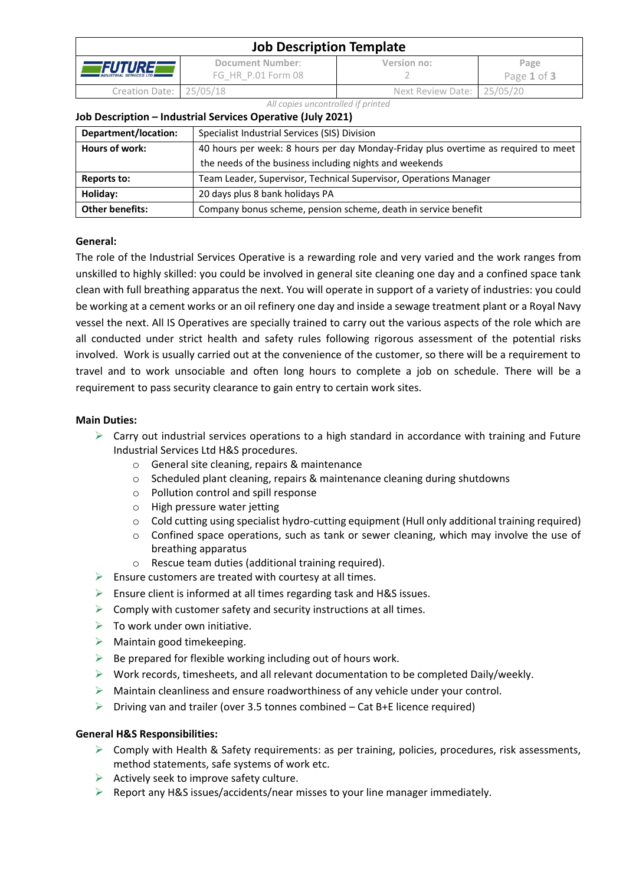| <b>Job Description Template</b>                   |                                        |                            |                     |  |  |
|---------------------------------------------------|----------------------------------------|----------------------------|---------------------|--|--|
| <i>FUTUREE</i><br><b>INDUSTRIAL SERVICES LTD.</b> | Document Number:<br>FG HR P.01 Form 08 | Version no:                | Page<br>Page 1 of 3 |  |  |
| Creation Date: 25/05/18                           |                                        | Next Review Date: 25/05/20 |                     |  |  |

#### *All copies uncontrolled if printed*

#### **Job Description – Industrial Services Operative (July 2021)**

| Department/location:   | Specialist Industrial Services (SIS) Division                                      |  |
|------------------------|------------------------------------------------------------------------------------|--|
| Hours of work:         | 40 hours per week: 8 hours per day Monday-Friday plus overtime as required to meet |  |
|                        | the needs of the business including nights and weekends                            |  |
| Reports to:            | Team Leader, Supervisor, Technical Supervisor, Operations Manager                  |  |
| Holiday:               | 20 days plus 8 bank holidays PA                                                    |  |
| <b>Other benefits:</b> | Company bonus scheme, pension scheme, death in service benefit                     |  |

# **General:**

The role of the Industrial Services Operative is a rewarding role and very varied and the work ranges from unskilled to highly skilled: you could be involved in general site cleaning one day and a confined space tank clean with full breathing apparatus the next. You will operate in support of a variety of industries: you could be working at a cement works or an oil refinery one day and inside a sewage treatment plant or a Royal Navy vessel the next. All IS Operatives are specially trained to carry out the various aspects of the role which are all conducted under strict health and safety rules following rigorous assessment of the potential risks involved. Work is usually carried out at the convenience of the customer, so there will be a requirement to travel and to work unsociable and often long hours to complete a job on schedule. There will be a requirement to pass security clearance to gain entry to certain work sites.

### **Main Duties:**

- $\triangleright$  Carry out industrial services operations to a high standard in accordance with training and Future Industrial Services Ltd H&S procedures.
	- o General site cleaning, repairs & maintenance
	- o Scheduled plant cleaning, repairs & maintenance cleaning during shutdowns
	- o Pollution control and spill response
	- o High pressure water jetting
	- o Cold cutting using specialist hydro-cutting equipment (Hull only additional training required)
	- $\circ$  Confined space operations, such as tank or sewer cleaning, which may involve the use of breathing apparatus
	- $\circ$  Rescue team duties (additional training required).
- $\triangleright$  Ensure customers are treated with courtesy at all times.
- $\triangleright$  Ensure client is informed at all times regarding task and H&S issues.
- $\triangleright$  Comply with customer safety and security instructions at all times.
- $\triangleright$  To work under own initiative.
- $\triangleright$  Maintain good timekeeping.
- $\triangleright$  Be prepared for flexible working including out of hours work.
- $\triangleright$  Work records, timesheets, and all relevant documentation to be completed Daily/weekly.
- $\triangleright$  Maintain cleanliness and ensure roadworthiness of any vehicle under your control.
- $\triangleright$  Driving van and trailer (over 3.5 tonnes combined Cat B+E licence required)

### **General H&S Responsibilities:**

- $\triangleright$  Comply with Health & Safety requirements: as per training, policies, procedures, risk assessments, method statements, safe systems of work etc.
- $\triangleright$  Actively seek to improve safety culture.
- $\triangleright$  Report any H&S issues/accidents/near misses to your line manager immediately.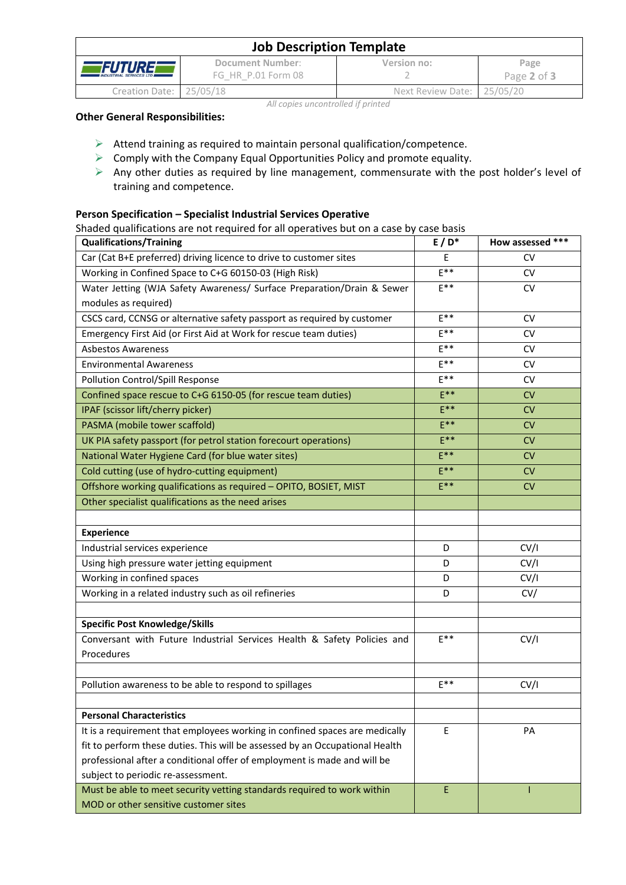| <b>Job Description Template</b>                                                               |  |                            |                     |  |  |
|-----------------------------------------------------------------------------------------------|--|----------------------------|---------------------|--|--|
| Document Number:<br><i>FUTURE</i><br>FG HR P.01 Form 08<br><b>INDUSTRIAL SERVICES LTD III</b> |  | Version no:                | Page<br>Page 2 of 3 |  |  |
| Creation Date: 25/05/18                                                                       |  | Next Review Date: 25/05/20 |                     |  |  |

# *All copies uncontrolled if printed*

## **Other General Responsibilities:**

- $\triangleright$  Attend training as required to maintain personal qualification/competence.
- $\triangleright$  Comply with the Company Equal Opportunities Policy and promote equality.
- ➢ Any other duties as required by line management, commensurate with the post holder's level of training and competence.

# **Person Specification – Specialist Industrial Services Operative**

Shaded qualifications are not required for all operatives but on a case by case basis

| <b>Qualifications/Training</b>                                               | $E/D^*$  | How assessed *** |
|------------------------------------------------------------------------------|----------|------------------|
| Car (Cat B+E preferred) driving licence to drive to customer sites           | E        | <b>CV</b>        |
| Working in Confined Space to C+G 60150-03 (High Risk)                        | $E^{**}$ | <b>CV</b>        |
| Water Jetting (WJA Safety Awareness/ Surface Preparation/Drain & Sewer       | $E^{**}$ | <b>CV</b>        |
| modules as required)                                                         |          |                  |
| CSCS card, CCNSG or alternative safety passport as required by customer      | $F***$   | <b>CV</b>        |
| Emergency First Aid (or First Aid at Work for rescue team duties)            | $E^{**}$ | <b>CV</b>        |
| <b>Asbestos Awareness</b>                                                    | $E^{**}$ | <b>CV</b>        |
| <b>Environmental Awareness</b>                                               | $E^{**}$ | CV.              |
| Pollution Control/Spill Response                                             | $E***$   | <b>CV</b>        |
| Confined space rescue to C+G 6150-05 (for rescue team duties)                | $E***$   | <b>CV</b>        |
| IPAF (scissor lift/cherry picker)                                            | $E***$   | CV               |
| PASMA (mobile tower scaffold)                                                | $E***$   | <b>CV</b>        |
| UK PIA safety passport (for petrol station forecourt operations)             | $E***$   | CV               |
| National Water Hygiene Card (for blue water sites)                           | $E***$   | CV               |
| Cold cutting (use of hydro-cutting equipment)                                | $E***$   | <b>CV</b>        |
| Offshore working qualifications as required - OPITO, BOSIET, MIST            | $E***$   | <b>CV</b>        |
| Other specialist qualifications as the need arises                           |          |                  |
|                                                                              |          |                  |
| <b>Experience</b>                                                            |          |                  |
| Industrial services experience                                               | D        | CV/I             |
| Using high pressure water jetting equipment                                  | D        | CV/I             |
| Working in confined spaces                                                   | D        | CV/I             |
| Working in a related industry such as oil refineries                         | D        | CV/              |
|                                                                              |          |                  |
| <b>Specific Post Knowledge/Skills</b>                                        |          |                  |
| Conversant with Future Industrial Services Health & Safety Policies and      | $E^{**}$ | CV/I             |
| Procedures                                                                   |          |                  |
|                                                                              |          |                  |
| Pollution awareness to be able to respond to spillages                       | $F***$   | CV/I             |
|                                                                              |          |                  |
| <b>Personal Characteristics</b>                                              |          |                  |
| It is a requirement that employees working in confined spaces are medically  | E        | PA               |
| fit to perform these duties. This will be assessed by an Occupational Health |          |                  |
| professional after a conditional offer of employment is made and will be     |          |                  |
| subject to periodic re-assessment.                                           |          |                  |
| Must be able to meet security vetting standards required to work within      | E        |                  |
| MOD or other sensitive customer sites                                        |          |                  |